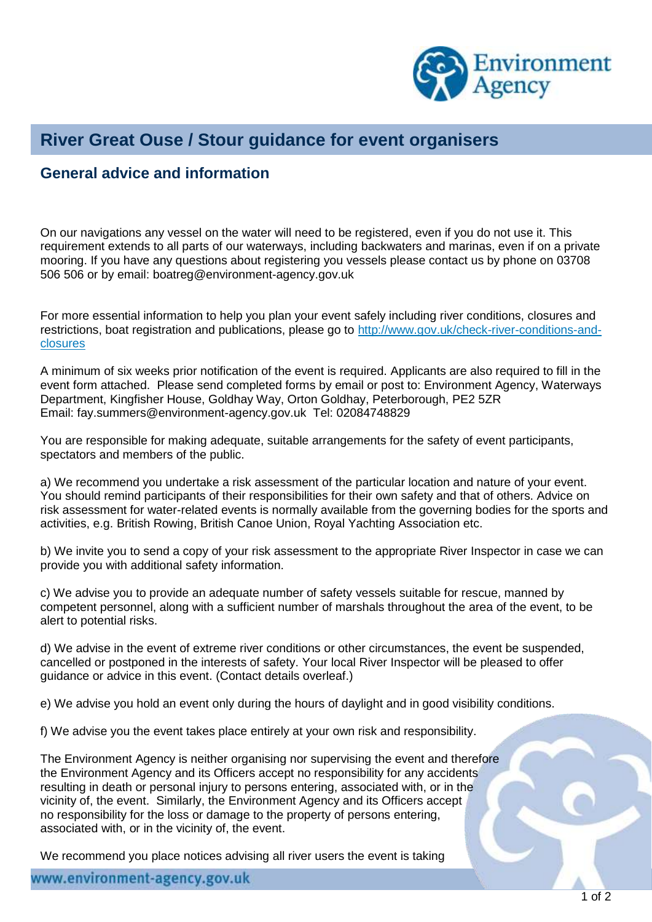

## **River Great Ouse / Stour guidance for event organisers**

## **General advice and information**

On our navigations any vessel on the water will need to be registered, even if you do not use it. This requirement extends to all parts of our waterways, including backwaters and marinas, even if on a private mooring. If you have any questions about registering you vessels please contact us by phone on 03708 506 506 or by email: [boatreg@environment-agency.gov.uk](mailto:boatreg@environment-agency.gov.uk)

For more essential information to help you plan your event safely including river conditions, closures and restrictions, boat registration and publications, please go to [http://www.gov.uk/check-river-conditions-and](http://www.gov.uk/check-river-conditions-and-closures)[closures](http://www.gov.uk/check-river-conditions-and-closures)

A minimum of six weeks prior notification of the event is required. Applicants are also required to fill in the event form attached. Please send completed forms by email or post to: Environment Agency, Waterways Department, Kingfisher House, Goldhay Way, Orton Goldhay, Peterborough, PE2 5ZR Email: fay.summers@environment-agency.gov.uk Tel: 02084748829

You are responsible for making adequate, suitable arrangements for the safety of event participants, spectators and members of the public.

a) We recommend you undertake a risk assessment of the particular location and nature of your event. You should remind participants of their responsibilities for their own safety and that of others. Advice on risk assessment for water-related events is normally available from the governing bodies for the sports and activities, e.g. British Rowing, British Canoe Union, Royal Yachting Association etc.

b) We invite you to send a copy of your risk assessment to the appropriate River Inspector in case we can provide you with additional safety information.

c) We advise you to provide an adequate number of safety vessels suitable for rescue, manned by competent personnel, along with a sufficient number of marshals throughout the area of the event, to be alert to potential risks.

d) We advise in the event of extreme river conditions or other circumstances, the event be suspended, cancelled or postponed in the interests of safety. Your local River Inspector will be pleased to offer guidance or advice in this event. (Contact details overleaf.)

e) We advise you hold an event only during the hours of daylight and in good visibility conditions.

f) We advise you the event takes place entirely at your own risk and responsibility.

The Environment Agency is neither organising nor supervising the event and therefore the Environment Agency and its Officers accept no responsibility for any accidents resulting in death or personal injury to persons entering, associated with, or in the vicinity of, the event. Similarly, the Environment Agency and its Officers accept no responsibility for the loss or damage to the property of persons entering, associated with, or in the vicinity of, the event.

We recommend you place notices advising all river users the event is taking

www.environment-agency.gov.uk